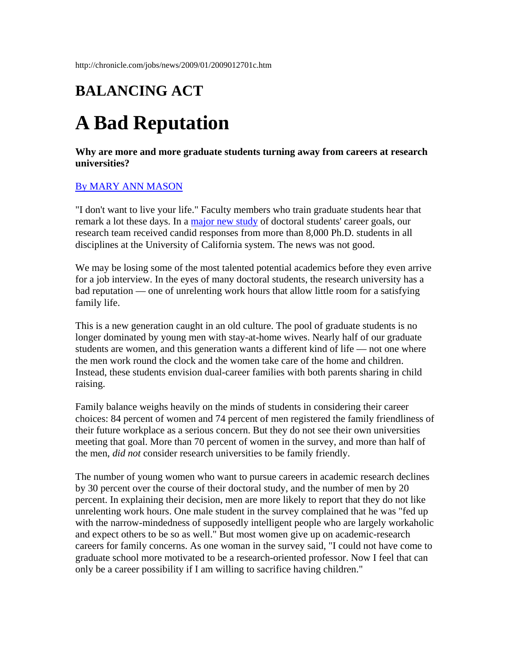## **BALANCING ACT**

## **A Bad Reputation**

**Why are more and more graduate students turning away from careers at research universities?**

## [By MARY ANN MASON](mailto:careers@chronicle.com)

"I don't want to live your life." Faculty members who train graduate students hear that remark a lot these days. In a [major new study](http://chronicle.com/free/2009/01/9652n.htm) of doctoral students' career goals, our research team received candid responses from more than 8,000 Ph.D. students in all disciplines at the University of California system. The news was not good.

We may be losing some of the most talented potential academics before they even arrive for a job interview. In the eyes of many doctoral students, the research university has a bad reputation — one of unrelenting work hours that allow little room for a satisfying family life.

This is a new generation caught in an old culture. The pool of graduate students is no longer dominated by young men with stay-at-home wives. Nearly half of our graduate students are women, and this generation wants a different kind of life — not one where the men work round the clock and the women take care of the home and children. Instead, these students envision dual-career families with both parents sharing in child raising.

Family balance weighs heavily on the minds of students in considering their career choices: 84 percent of women and 74 percent of men registered the family friendliness of their future workplace as a serious concern. But they do not see their own universities meeting that goal. More than 70 percent of women in the survey, and more than half of the men, *did not* consider research universities to be family friendly.

The number of young women who want to pursue careers in academic research declines by 30 percent over the course of their doctoral study, and the number of men by 20 percent. In explaining their decision, men are more likely to report that they do not like unrelenting work hours. One male student in the survey complained that he was "fed up with the narrow-mindedness of supposedly intelligent people who are largely workaholic and expect others to be so as well." But most women give up on academic-research careers for family concerns. As one woman in the survey said, "I could not have come to graduate school more motivated to be a research-oriented professor. Now I feel that can only be a career possibility if I am willing to sacrifice having children."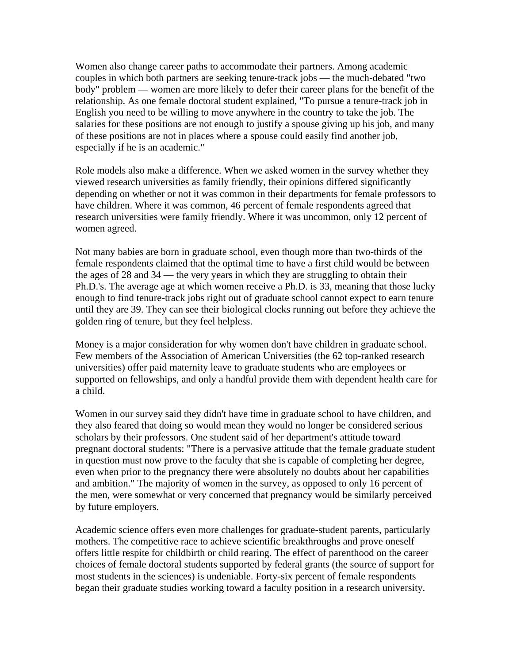Women also change career paths to accommodate their partners. Among academic couples in which both partners are seeking tenure-track jobs — the much-debated "two body" problem — women are more likely to defer their career plans for the benefit of the relationship. As one female doctoral student explained, "To pursue a tenure-track job in English you need to be willing to move anywhere in the country to take the job. The salaries for these positions are not enough to justify a spouse giving up his job, and many of these positions are not in places where a spouse could easily find another job, especially if he is an academic."

Role models also make a difference. When we asked women in the survey whether they viewed research universities as family friendly, their opinions differed significantly depending on whether or not it was common in their departments for female professors to have children. Where it was common, 46 percent of female respondents agreed that research universities were family friendly. Where it was uncommon, only 12 percent of women agreed.

Not many babies are born in graduate school, even though more than two-thirds of the female respondents claimed that the optimal time to have a first child would be between the ages of 28 and 34 — the very years in which they are struggling to obtain their Ph.D.'s. The average age at which women receive a Ph.D. is 33, meaning that those lucky enough to find tenure-track jobs right out of graduate school cannot expect to earn tenure until they are 39. They can see their biological clocks running out before they achieve the golden ring of tenure, but they feel helpless.

Money is a major consideration for why women don't have children in graduate school. Few members of the Association of American Universities (the 62 top-ranked research universities) offer paid maternity leave to graduate students who are employees or supported on fellowships, and only a handful provide them with dependent health care for a child.

Women in our survey said they didn't have time in graduate school to have children, and they also feared that doing so would mean they would no longer be considered serious scholars by their professors. One student said of her department's attitude toward pregnant doctoral students: "There is a pervasive attitude that the female graduate student in question must now prove to the faculty that she is capable of completing her degree, even when prior to the pregnancy there were absolutely no doubts about her capabilities and ambition." The majority of women in the survey, as opposed to only 16 percent of the men, were somewhat or very concerned that pregnancy would be similarly perceived by future employers.

Academic science offers even more challenges for graduate-student parents, particularly mothers. The competitive race to achieve scientific breakthroughs and prove oneself offers little respite for childbirth or child rearing. The effect of parenthood on the career choices of female doctoral students supported by federal grants (the source of support for most students in the sciences) is undeniable. Forty-six percent of female respondents began their graduate studies working toward a faculty position in a research university.